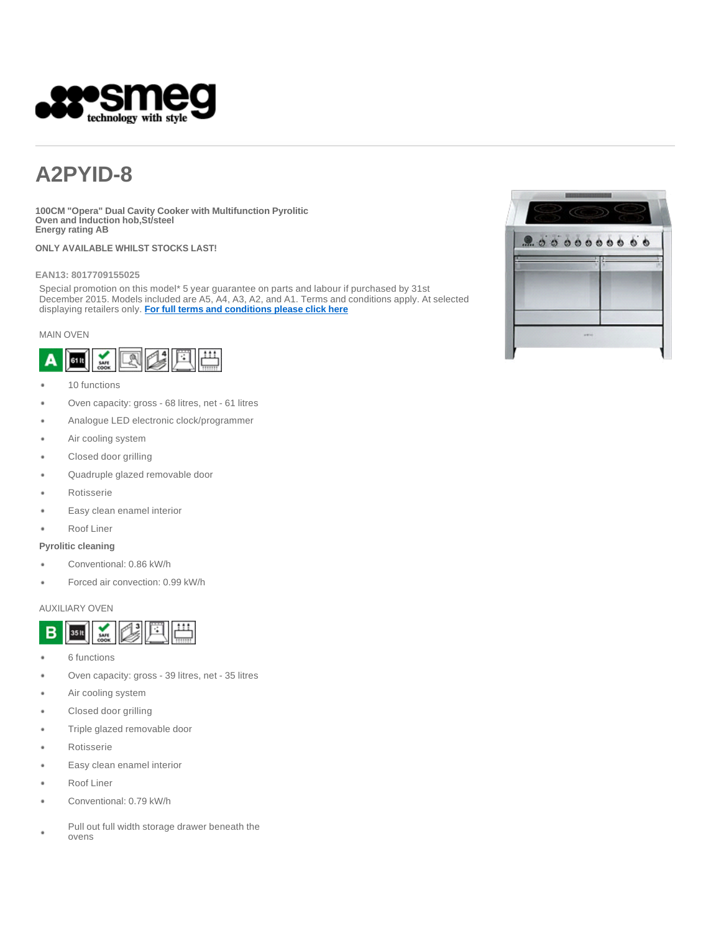

# **A2PYID-8**

**100CM "Opera" Dual Cavity Cooker with Multifunction Pyrolitic Oven and Induction hob,St/steel Energy rating AB**

**ONLY AVAILABLE WHILST STOCKS LAST!** 

#### **EAN13: 8017709155025**

Special promotion on this model\* 5 year guarantee on parts and labour if purchased by 31st December 2015. Models included are A5, A4, A3, A2, and A1. Terms and conditions apply. At selected displaying retailers only. **For full terms and conditions please click here**

#### MAIN OVEN



- 10 functions
- Oven capacity: gross 68 litres, net 61 litres
- Analogue LED electronic clock/programmer
- Air cooling system
- Closed door grilling
- Quadruple glazed removable door
- Rotisserie
- Easy clean enamel interior
- Roof Liner

#### **Pyrolitic cleaning**

- Conventional: 0.86 kW/h
- Forced air convection: 0.99 kW/h

#### AUXILIARY OVEN



- ٠ 6 functions
- Oven capacity: gross 39 litres, net 35 litres
- Air cooling system
- Closed door grilling
- Triple glazed removable door
- Rotisserie
- Easy clean enamel interior
- Roof Liner
- Conventional: 0.79 kW/h
- Pull out full width storage drawer beneath the ovens

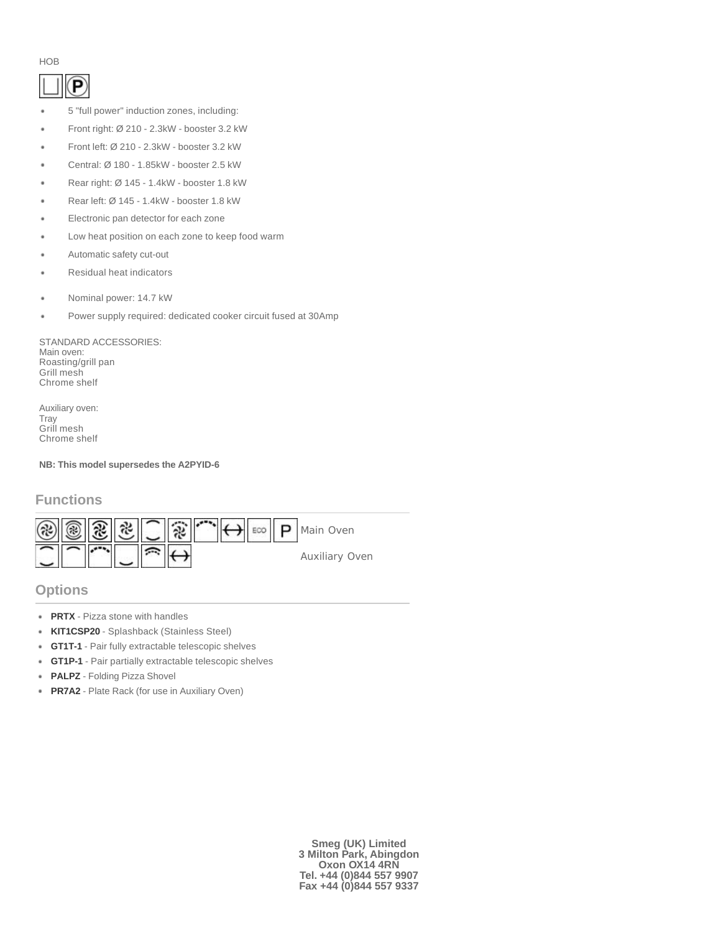#### HOB

# P

- 5 "full power" induction zones, including:
- Front right: Ø 210 2.3kW booster 3.2 kW
- Front left: Ø 210 2.3kW booster 3.2 kW
- Central: Ø 180 1.85kW booster 2.5 kW
- Rear right: Ø 145 1.4kW booster 1.8 kW
- Rear left: Ø 145 1.4kW booster 1.8 kW
- Electronic pan detector for each zone
- Low heat position on each zone to keep food warm
- Automatic safety cut-out
- Residual heat indicators
- Nominal power: 14.7 kW
- Power supply required: dedicated cooker circuit fused at 30Amp

STANDARD ACCESSORIES: Main oven: Roasting/grill pan Grill mesh Chrome shelf

Auxiliary oven: **Tray** Grill mesh Chrome shelf

**NB: This model supersedes the A2PYID-6**

# **Functions**



## **Options**

- **PRTX** Pizza stone with handles
- **KIT1CSP20** Splashback (Stainless Steel)
- ٠ **GT1T-1** - Pair fully extractable telescopic shelves
- **GT1P-1** Pair partially extractable telescopic shelves ٠
- **PALPZ** Folding Pizza Shovel
- **PR7A2** Plate Rack (for use in Auxiliary Oven)

**Smeg (UK) Limited 3 Milton Park, Abingdon Oxon OX14 4RN Tel. +44 (0)844 557 9907 Fax +44 (0)844 557 9337**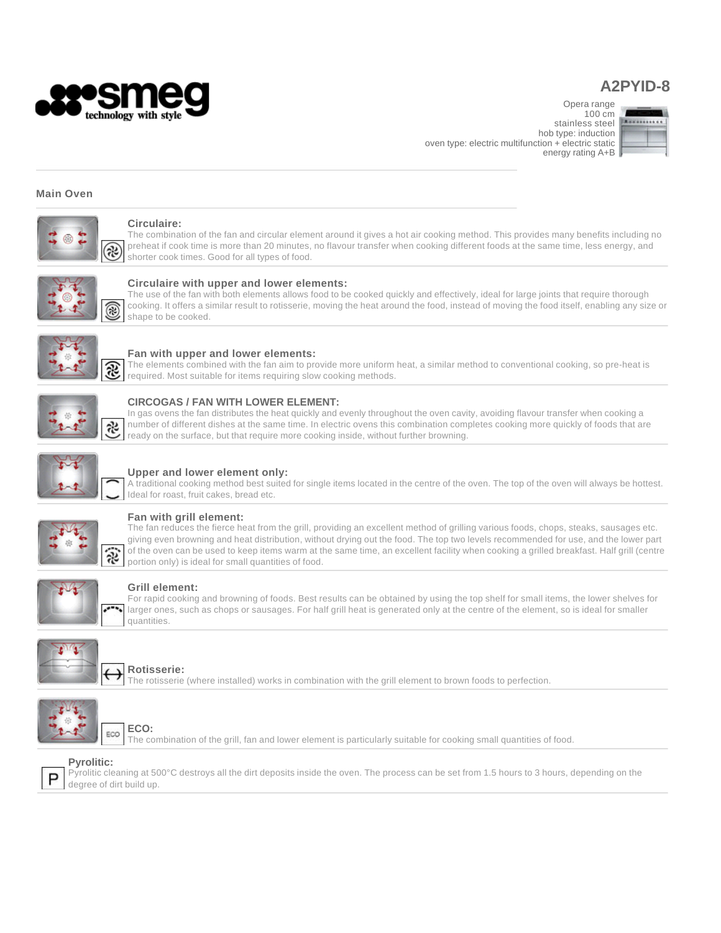

# **A2PYID-8**

Opera range

100 cm stainless steel hob type: induction oven type: electric multifunction + electric static energy rating A+B



#### **Main Oven**



#### **Circulaire:**

The combination of the fan and circular element around it gives a hot air cooking method. This provides many benefits including no preheat if cook time is more than 20 minutes, no flavour transfer when cooking different foods at the same time, less energy, and shorter cook times. Good for all types of food.



#### **Circulaire with upper and lower elements:**

The use of the fan with both elements allows food to be cooked quickly and effectively, ideal for large joints that require thorough cooking. It offers a similar result to rotisserie, moving the heat around the food, instead of moving the food itself, enabling any size or shape to be cooked.



#### **Fan with upper and lower elements:**

The elements combined with the fan aim to provide more uniform heat, a similar method to conventional cooking, so pre-heat is required. Most suitable for items requiring slow cooking methods.



#### **CIRCOGAS / FAN WITH LOWER ELEMENT:**

In gas ovens the fan distributes the heat quickly and evenly throughout the oven cavity, avoiding flavour transfer when cooking a number of different dishes at the same time. In electric ovens this combination completes cooking more quickly of foods that are ready on the surface, but that require more cooking inside, without further browning.



#### **Upper and lower element only:**

A traditional cooking method best suited for single items located in the centre of the oven. The top of the oven will always be hottest. Ideal for roast, fruit cakes, bread etc.



#### **Fan with grill element:**

The fan reduces the fierce heat from the grill, providing an excellent method of grilling various foods, chops, steaks, sausages etc. giving even browning and heat distribution, without drying out the food. The top two levels recommended for use, and the lower part of the oven can be used to keep items warm at the same time, an excellent facility when cooking a grilled breakfast. Half grill (centre portion only) is ideal for small quantities of food.



#### **Grill element:**

For rapid cooking and browning of foods. Best results can be obtained by using the top shelf for small items, the lower shelves for larger ones, such as chops or sausages. For half grill heat is generated only at the centre of the element, so is ideal for smaller quantities.



#### **Rotisserie:**

The rotisserie (where installed) works in combination with the grill element to brown foods to perfection.



P

**ECO:** ECO

The combination of the grill, fan and lower element is particularly suitable for cooking small quantities of food.

#### **Pyrolitic:**

Pyrolitic cleaning at 500°C destroys all the dirt deposits inside the oven. The process can be set from 1.5 hours to 3 hours, depending on the degree of dirt build up.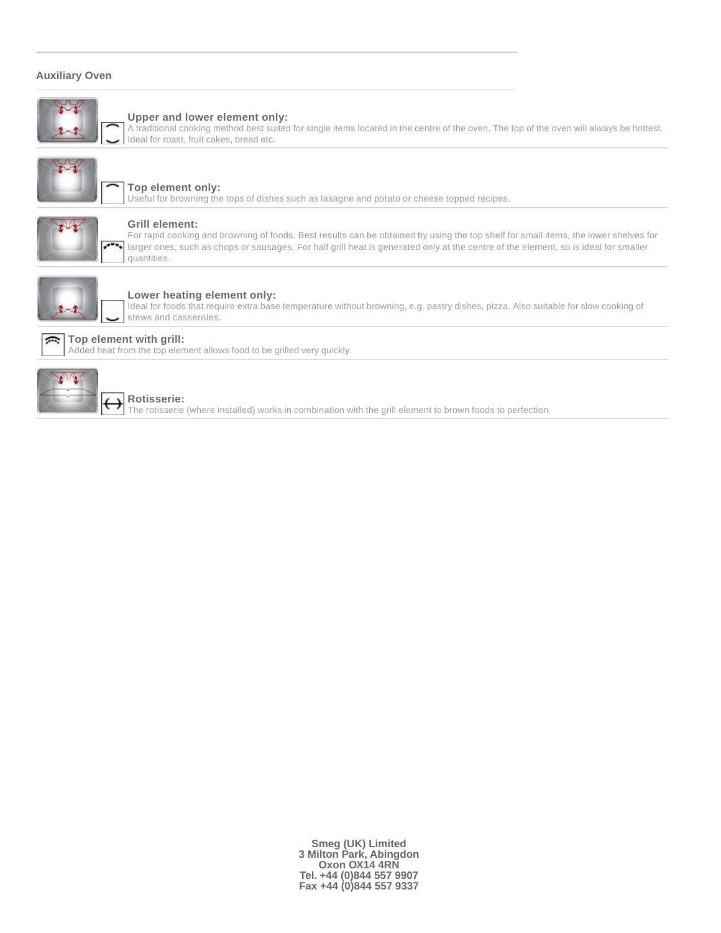### **Auxiliary Oven**



#### **Upper and lower element only:**

A traditional cooking method best suited for single items located in the centre of the oven. The top of the oven will always be hottest. Ideal for roast, fruit cakes, bread etc.



## **Top element only:**

Useful for browning the tops of dishes such as lasagne and potato or cheese topped recipes.



#### **Grill element:**

For rapid cooking and browning of foods. Best results can be obtained by using the top shelf for small items, the lower shelves for larger ones, such as chops or sausages. For half grill heat is generated only at the centre of the element, so is ideal for smaller quantities.



#### **Lower heating element only:**

Ideal for foods that require extra base temperature without browning, e.g. pastry dishes, pizza. Also suitable for slow cooking of stews and casseroles.



### **Rotisserie:**

**Top element with grill:**

The rotisserie (where installed) works in combination with the grill element to brown foods to perfection.

**Smeg (UK) Limited 3 Milton Park, Abingdon Oxon OX14 4RN Tel. +44 (0)844 557 9907 Fax +44 (0)844 557 9337**